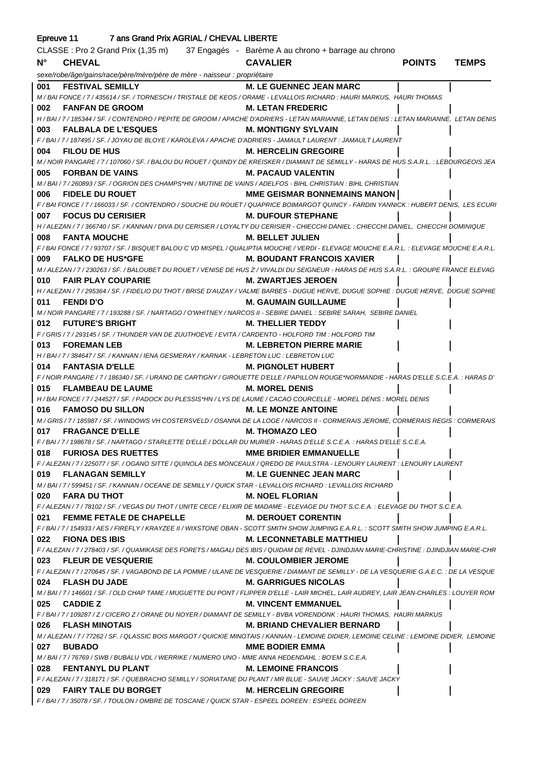| 7 ans Grand Prix AGRIAL / CHEVAL LIBERTE<br>Epreuve 11 |                                                                                                                                                                     |                                       |               |              |
|--------------------------------------------------------|---------------------------------------------------------------------------------------------------------------------------------------------------------------------|---------------------------------------|---------------|--------------|
|                                                        | CLASSE : Pro 2 Grand Prix (1,35 m) 37 Engagés - Barème A au chrono + barrage au chrono                                                                              |                                       |               |              |
| $N^{\circ}$                                            | <b>CHEVAL</b>                                                                                                                                                       | <b>CAVALIER</b>                       | <b>POINTS</b> | <b>TEMPS</b> |
|                                                        | sexe/robe/âge/gains/race/père/mère/père de mère - naisseur : propriétaire                                                                                           |                                       |               |              |
| 001                                                    | <b>FESTIVAL SEMILLY</b>                                                                                                                                             | <b>M. LE GUENNEC JEAN MARC</b>        |               |              |
|                                                        | M / BAI FONCE / 7 / 435614 / SF. / TORNESCH / TRISTALE DE KEOS / ORAME - LEVALLOIS RICHARD : HAURI MARKUS, HAURI THOMAS                                             |                                       |               |              |
| 002                                                    | <b>FANFAN DE GROOM</b>                                                                                                                                              | <b>M. LETAN FREDERIC</b>              |               |              |
|                                                        | H / BAI / 7 / 185344 / SF. / CONTENDRO / PEPITE DE GROOM / APACHE D'ADRIERS - LETAN MARIANNE, LETAN DENIS : LETAN MARIANNE, LETAN DENIS                             |                                       |               |              |
| 003                                                    | <b>FALBALA DE L'ESQUES</b>                                                                                                                                          | <b>M. MONTIGNY SYLVAIN</b>            |               |              |
|                                                        | F / BAI / 7 / 187495 / SF. / JOYAU DE BLOYE / KAROLEVA / APACHE D'ADRIERS - JAMAULT LAURENT : JAMAULT LAURENT                                                       |                                       |               |              |
| 004                                                    | <b>FILOU DE HUS</b>                                                                                                                                                 | <b>M. HERCELIN GREGOIRE</b>           |               |              |
|                                                        | M / NOIR PANGARE / 7 / 107060 / SF. / BALOU DU ROUET / QUINDY DE KREISKER / DIAMANT DE SEMILLY - HARAS DE HUS S.A.R.L. : LEBOURGEOIS JEA                            |                                       |               |              |
| 005                                                    | <b>FORBAN DE VAINS</b>                                                                                                                                              | <b>M. PACAUD VALENTIN</b>             |               |              |
|                                                        | M / BAI / 7 / 260893 / SF. / OGRION DES CHAMPS*HN / MUTINE DE VAINS / ADELFOS - BIHL CHRISTIAN : BIHL CHRISTIAN                                                     |                                       |               |              |
| 006                                                    | <b>FIDELE DU ROUET</b>                                                                                                                                              | <b>MME GEISMAR BONNEMAINS MANON  </b> |               |              |
|                                                        | F/BAI FONCE/7/166033/SF./CONTENDRO/SOUCHE DU ROUET/QUAPRICE BOIMARGOT QUINCY - FARDIN YANNICK: HUBERT DENIS, LES ECURI                                              |                                       |               |              |
| 007                                                    | <b>FOCUS DU CERISIER</b><br>H / ALEZAN / 7 / 366740 / SF. / KANNAN / DIVA DU CERISIER / LOYALTY DU CERISIER - CHIECCHI DANIEL : CHIECCHI DANIEL, CHIECCHI DOMINIQUE | <b>M. DUFOUR STEPHANE</b>             |               |              |
| 008                                                    | <b>FANTA MOUCHE</b>                                                                                                                                                 | <b>M. BELLET JULIEN</b>               |               |              |
|                                                        | F / BAI FONCE / 7 / 93707 / SF. / BISQUET BALOU C VD MISPEL / QUALIPTIA MOUCHE / VERDI - ELEVAGE MOUCHE E.A.R.L. : ELEVAGE MOUCHE E.A.R.L.                          |                                       |               |              |
| 009                                                    | <b>FALKO DE HUS*GFE</b>                                                                                                                                             | <b>M. BOUDANT FRANCOIS XAVIER</b>     |               |              |
|                                                        | M / ALEZAN / 7 / 230263 / SF. / BALOUBET DU ROUET / VENISE DE HUS Z / VIVALDI DU SEIGNEUR - HARAS DE HUS S.A.R.L. : GROUPE FRANCE ELEVAG                            |                                       |               |              |
| 010                                                    | <b>FAIR PLAY COUPARIE</b>                                                                                                                                           | <b>M. ZWARTJES JEROEN</b>             |               |              |
|                                                        | H / ALEZAN / 7 / 295364 / SF. / FIDELIO DU THOT / BRISE D'AUZAY / VALME BARBES - DUGUE HERVE, DUGUE SOPHIE : DUGUE HERVE, DUGUE SOPHIE                              |                                       |               |              |
| 011                                                    | <b>FENDI D'O</b>                                                                                                                                                    | <b>M. GAUMAIN GUILLAUME</b>           |               |              |
|                                                        | M / NOIR PANGARE / 7 / 193288 / SF. / NARTAGO / O'WHITNEY / NARCOS II - SEBIRE DANIEL : SEBIRE SARAH, SEBIRE DANIEL                                                 |                                       |               |              |
| 012                                                    | <b>FUTURE'S BRIGHT</b>                                                                                                                                              | <b>M. THELLIER TEDDY</b>              |               |              |
|                                                        | F / GRIS / 7 / 293145 / SF. / THUNDER VAN DE ZUUTHOEVE / EVITA / CARDENTO - HOLFORD TIM : HOLFORD TIM                                                               |                                       |               |              |
| 013                                                    | <b>FOREMAN LEB</b>                                                                                                                                                  | <b>M. LEBRETON PIERRE MARIE</b>       |               |              |
|                                                        | H / BAI / 7 / 384647 / SF. / KANNAN / IENA GESMERAY / KARNAK - LEBRETON LUC : LEBRETON LUC                                                                          |                                       |               |              |
| 014                                                    | <b>FANTASIA D'ELLE</b>                                                                                                                                              | <b>M. PIGNOLET HUBERT</b>             |               |              |
|                                                        | F / NOIR PANGARE / 7 / 186340 / SF. / URANO DE CARTIGNY / GIROUETTE D'ELLE / PAPILLON ROUGE*NORMANDIE - HARAS D'ELLE S.C.E.A. : HARAS D'                            |                                       |               |              |
| 015                                                    | <b>FLAMBEAU DE LAUME</b>                                                                                                                                            | <b>M. MOREL DENIS</b>                 |               |              |
|                                                        | H / BAI FONCE / 7 / 244527 / SF. / PADOCK DU PLESSIS*HN / LYS DE LAUME / CACAO COURCELLE - MOREL DENIS : MOREL DENIS                                                |                                       |               |              |
| 016                                                    | <b>FAMOSO DU SILLON</b>                                                                                                                                             | <b>M. LE MONZE ANTOINE</b>            |               |              |
|                                                        | M / GRIS / 7 / 185987 / SF. / WINDOWS VH COSTERSVELD / OSANNA DE LA LOGE / NARCOS II - CORMERAIS JEROME, CORMERAIS REGIS : CORMERAIS                                |                                       |               |              |
|                                                        | 017 FRAGANCE D'ELLE                                                                                                                                                 | M. THOMAZO LEO                        |               |              |
|                                                        | F / BAI / 7 / 198678 / SF. / NARTAGO / STARLETTE D'ELLE / DOLLAR DU MURIER - HARAS D'ELLE S.C.E.A. : HARAS D'ELLE S.C.E.A.<br>018 FURIOSA DES RUETTES               | <b>MME BRIDIER EMMANUELLE</b>         |               |              |
|                                                        | F / ALEZAN / 7 / 225077 / SF. / OGANO SITTE / QUINOLA DES MONCEAUX / QREDO DE PAULSTRA - LENOURY LAURENT : LENOURY LAURENT                                          |                                       |               |              |
|                                                        | 019 FLANAGAN SEMILLY                                                                                                                                                | <b>M. LE GUENNEC JEAN MARC</b>        |               |              |
|                                                        | M / BAI / 7 / 599451 / SF. / KANNAN / OCEANE DE SEMILLY / QUICK STAR - LEVALLOIS RICHARD : LEVALLOIS RICHARD                                                        |                                       |               |              |
|                                                        | 020 FARA DU THOT                                                                                                                                                    | <b>M. NOEL FLORIAN</b>                |               |              |
|                                                        | F / ALEZAN / 7 / 78102 / SF. / VEGAS DU THOT / UNITE CECE / ELIXIR DE MADAME - ELEVAGE DU THOT S.C.E.A. : ELEVAGE DU THOT S.C.E.A.                                  |                                       |               |              |
|                                                        | 021 FEMME FETALE DE CHAPELLE M. DEROUET CORENTIN                                                                                                                    |                                       |               |              |
|                                                        | F / BAI / 7 / 154933 / AES / FIREFLY / KRAYZEE II / WIXSTONE OBAN - SCOTT SMITH SHOW JUMPING E.A.R.L. : SCOTT SMITH SHOW JUMPING E.A.R.L.                           |                                       |               |              |
|                                                        | 022 FIONA DESIBIS                                                                                                                                                   | <b>M. LECONNETABLE MATTHIEU</b>       |               |              |
|                                                        | F / ALEZAN / 7 / 278403 / SF. / QUAMIKASE DES FORETS / MAGALI DES IBIS / QUIDAM DE REVEL - DJINDJIAN MARIE-CHRISTINE : DJINDJIAN MARIE-CHR                          |                                       |               |              |
|                                                        | 023 FLEUR DE VESQUERIE                                                                                                                                              | <b>M. COULOMBIER JEROME</b>           |               |              |
|                                                        | F / ALEZAN / 7 / 270645 / SF. / VAGABOND DE LA POMME / ULANE DE VESQUERIE / DIAMANT DE SEMILLY - DE LA VESQUERIE G.A.E.C. : DE LA VESQUE                            |                                       |               |              |
|                                                        | 024 FLASH DU JADE                                                                                                                                                   | <b>M. GARRIGUES NICOLAS</b>           |               |              |
|                                                        | M / BAI / 7 / 146601 / SF. / OLD CHAP TAME / MUGUETTE DU PONT / FLIPPER D'ELLE - LAIR MICHEL, LAIR AUDREY, LAIR JEAN-CHARLES : LOUYER ROM                           |                                       |               |              |
|                                                        | 025 CADDIE Z                                                                                                                                                        | <b>M. VINCENT EMMANUEL</b>            |               |              |
|                                                        | F/BAI/7/109287/Z/CICERO Z/ORANE DU NOYER/DIAMANT DE SEMILLY - BVBA VORENDONK: HAURI THOMAS, HAURI MARKUS                                                            |                                       |               |              |
|                                                        | 026 FLASH MINOTAIS                                                                                                                                                  | <b>M. BRIAND CHEVALIER BERNARD</b>    |               |              |
|                                                        | M / ALEZAN / 7 / 77262 / SF. / QLASSIC BOIS MARGOT / QUICKIE MINOTAIS / KANNAN - LEMOINE DIDIER, LEMOINE CELINE : LEMOINE DIDIER, LEMOINE<br>027 BUBADO             | <b>MME BODIER EMMA</b>                |               |              |
|                                                        | M/BAI/7/76769/SWB/BUBALU VDL/WERRIKE/NUMERO UNO - MME ANNA HEDENDAHL: BO'EM S.C.E.A.                                                                                |                                       |               |              |
|                                                        | 028 FENTANYL DU PLANT                                                                                                                                               | <b>M. LEMOINE FRANCOIS</b>            |               |              |
|                                                        | F / ALEZAN / 7 / 318171 / SF. / QUEBRACHO SEMILLY / SORIATANE DU PLANT / MR BLUE - SAUVE JACKY : SAUVE JACKY                                                        |                                       |               |              |
|                                                        | 029 FAIRY TALE DU BORGET M. HERCELIN GREGOIRE                                                                                                                       |                                       |               |              |
|                                                        | F/BAI/7/35078/SF./TOULON/OMBRE DE TOSCANE/QUICK STAR - ESPEEL DOREEN : ESPEEL DOREEN                                                                                |                                       |               |              |